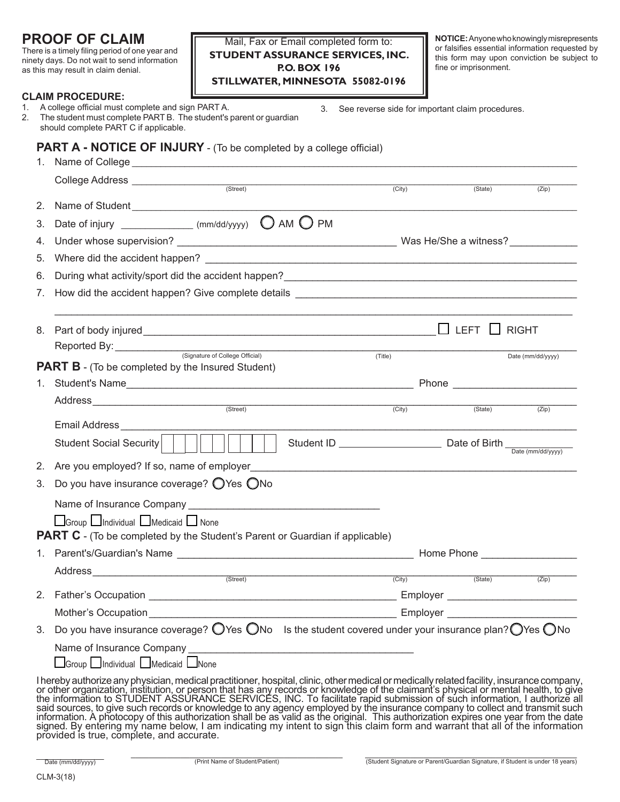# **PROOF OF CLAIM**

There is a timely filing period of one year and ninety days. Do not wait to send information as this may result in claim denial.

## Mail, Fax or Email completed form to: **STUDENT ASSURANCE SERVICES, INC. P.O. BOX 196 STILLWATER, MINNESOTA 55082-0196**

**NOTICE:** Anyone who knowingly misrepresents or falsifies essential information requested by this form may upon conviction be subject to fine or imprisonment.

3. See reverse side for important claim procedures.

### **CLAIM PROCEDURE:**

| 1. | A college official must complete and sign PART A.                  |
|----|--------------------------------------------------------------------|
| 2. | The student must complete PART B. The student's parent or quardian |
|    | should complete PART C if applicable.                              |

## **PART A - NOTICE OF INJURY** - (To be completed by a college official)

|    | 1. Name of College <b>contained a set of College</b> and the set of the set of the set of the set of the set of the set of the set of the set of the set of the set of the set of the set of the set of the set of the set of the s |                     |                          |                   |
|----|-------------------------------------------------------------------------------------------------------------------------------------------------------------------------------------------------------------------------------------|---------------------|--------------------------|-------------------|
|    |                                                                                                                                                                                                                                     | (City)              | (State)                  | (Zip)             |
| 2. |                                                                                                                                                                                                                                     |                     |                          |                   |
| 3. | Date of injury _______________ (mm/dd/yyyy) $\bigcirc$ AM $\bigcirc$ PM                                                                                                                                                             |                     |                          |                   |
| 4. |                                                                                                                                                                                                                                     |                     |                          |                   |
| 5. |                                                                                                                                                                                                                                     |                     |                          |                   |
| 6. |                                                                                                                                                                                                                                     |                     |                          |                   |
| 7. |                                                                                                                                                                                                                                     |                     |                          |                   |
| 8. |                                                                                                                                                                                                                                     |                     | $\Box$ LEFT $\Box$ RIGHT |                   |
|    | Reported By: (Signature of College Official)                                                                                                                                                                                        |                     |                          | Date (mm/dd/yyyy) |
|    | (Title)<br><b>PART B</b> - (To be completed by the Insured Student)                                                                                                                                                                 |                     |                          |                   |
| 1. |                                                                                                                                                                                                                                     |                     |                          |                   |
|    | Address (Street)                                                                                                                                                                                                                    |                     |                          |                   |
|    |                                                                                                                                                                                                                                     | (City)              |                          | $(State)$ $(Zip)$ |
|    | Student Social Security                                                                                                                                                                                                             |                     |                          |                   |
| 2. | Are you employed? If so, name of employer                                                                                                                                                                                           |                     |                          |                   |
| 3. | Do you have insurance coverage? ○ Yes ○ No                                                                                                                                                                                          |                     |                          |                   |
|    |                                                                                                                                                                                                                                     |                     |                          |                   |
|    | Group Individual Medicaid INone                                                                                                                                                                                                     |                     |                          |                   |
|    | <b>PART C</b> - (To be completed by the Student's Parent or Guardian if applicable)                                                                                                                                                 |                     |                          |                   |
|    |                                                                                                                                                                                                                                     |                     |                          |                   |
|    | Address (Street)                                                                                                                                                                                                                    |                     |                          |                   |
|    |                                                                                                                                                                                                                                     | $\overline{(City)}$ | (State)                  | (Zip)             |
|    |                                                                                                                                                                                                                                     |                     |                          |                   |
|    | Mother's Occupation__________                                                                                                                                                                                                       |                     |                          |                   |
|    | 3. Do you have insurance coverage? $\bigcirc$ Yes $\bigcirc$ No Is the student covered under your insurance plan? $\bigcirc$ Yes $\bigcirc$ No                                                                                      |                     |                          |                   |
|    |                                                                                                                                                                                                                                     |                     |                          |                   |
|    | □Group □Individual □Medicaid □None                                                                                                                                                                                                  |                     |                          |                   |
|    | I hereby authorize any physician, medical practitioner, hospital, clinic, other medical or medically related facility, insurance company, or other organization, institution, or person that has any records or knowledge of t      |                     |                          |                   |

the information to STUDENT ASSURANCE SERVICES, INC. To facilitate rapid submission of such information, I authorize all said sources, to give such records or knowledge to any agency employed by the insurance company to collect and transmit such information. A photocopy of this authorization shall be as valid as the original. This authorization expires one year from the date signed. By entering my name below, I am indicating my intent to sign this claim form and warrant that all of the information provided is true, complete, and accurate.

Date (mm/dd/yyyy)